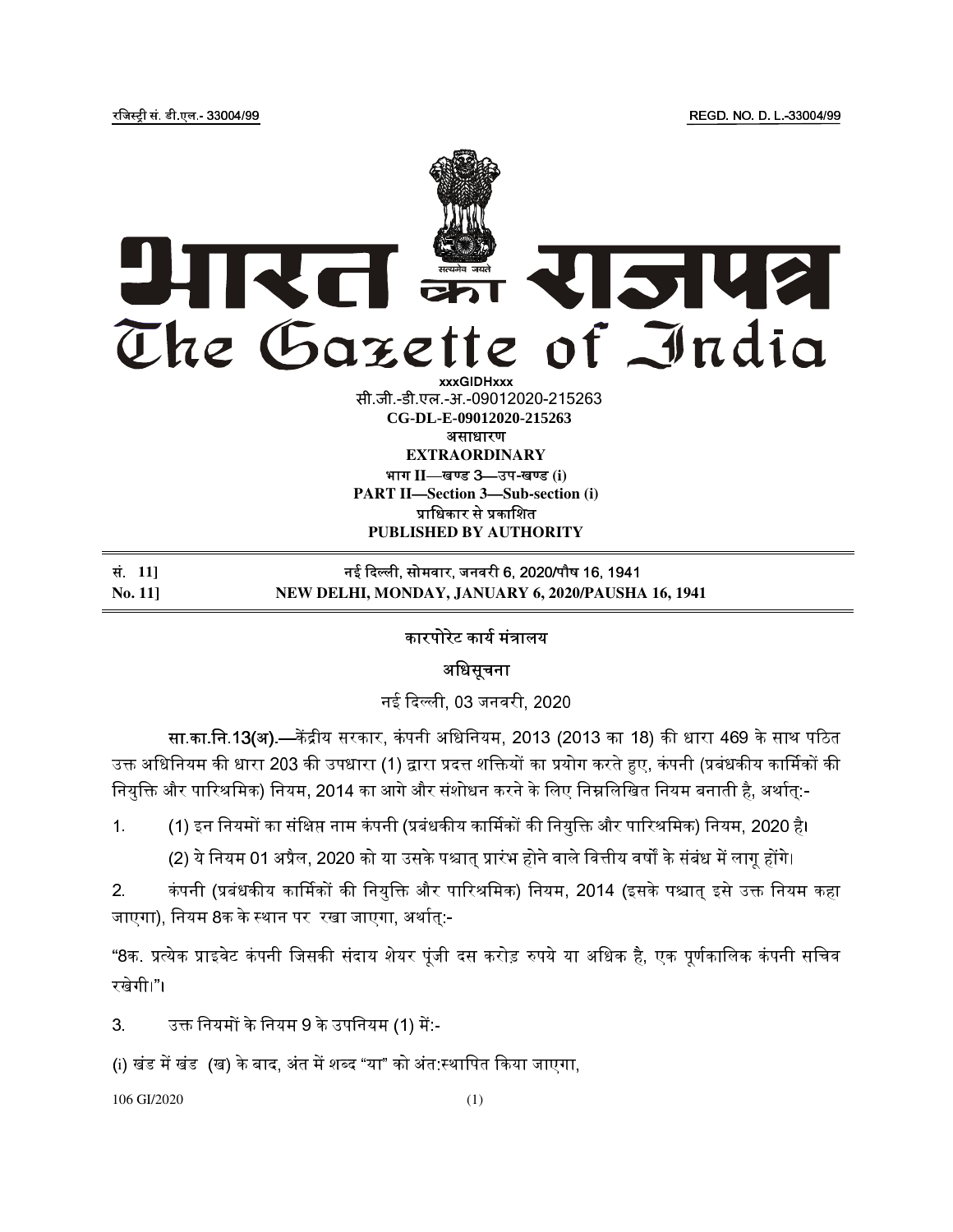# रत 5142 The Gazette of India **xxxGIDHxxx**

सी.जी.-डी.एल.-अ.-09012020-215263 असाधारण **EXTRAORDINARY**  भाग II—खण्ड 3—उप-खण्ड (i) **CG-DL-E-09012020-215263**

**PART II—Section 3—Sub-section (i)** प्राधिकार से प्रकाशित **PUBLISHED BY AUTHORITY**

# स.ं **11]** नई दली, सोमवार, जनवरी 6, 2020/पौष 16, 1941 **No. 11] NEW DELHI, MONDAY, JANUARY 6, 2020/PAUSHA 16, 1941**

## कारपोरेट कार्य मंत्रालय

अधिसूचना

नई दली, 03 जनवरी, 2020

सा.का.नि.13(अ).—केंद्रीय सरकार, कंपनी अधिनियम, 2013 (2013 का 18) की धारा 469 के साथ पठित उक्त अधिनियम की धारा 203 की उपधारा (1) द्वारा प्रदत्त शक्तियों का प्रयोग करते हुए, कंपनी (प्रबंधकीय कार्मिकों की नियुक्ति और पारिश्रमिक) नियम, 2014 का आगे और संशोधन करने के लिए निम्नलिखित नियम बनाती है, अर्थात्:-

1. (1) इन नियमों का संक्षिप्त नाम कंपनी (प्रबंधकीय कार्मिकों की नियुक्ति और पारिश्रमिक) नियम, 2020 है।

(2) ये नियम 01 अप्रैल, 2020 को या उसके पश्चात् प्रारंभ होने वाले वित्तीय वर्षों के संबंध में लागू होंगे।

2. कंपनी (प्रबंधकीय कार्मिकों की नियुक्ति और पारिश्रमिक) नियम, 2014 (इसके पश्चात् इसे उक्त नियम कहा जाएगा), नियम 8क के स्थान पर रखा जाएगा, अर्थात्:-

"8क. प्रत्येक प्राइवेट कंपनी जिसकी संदाय शेयर पूंजी दस करोड़ रुपये या अधिक है, एक पूर्णकालिक कंपनी सचिव रखेगी।"।

3. उक्त नियमों के नियम 9 के उपनियम (1) में -

(i) खंड में खंड (ख) के बाद, अंत में शब्द "या" को अंत:स्थापित किया जाएगा,

106 GI/2020 (1)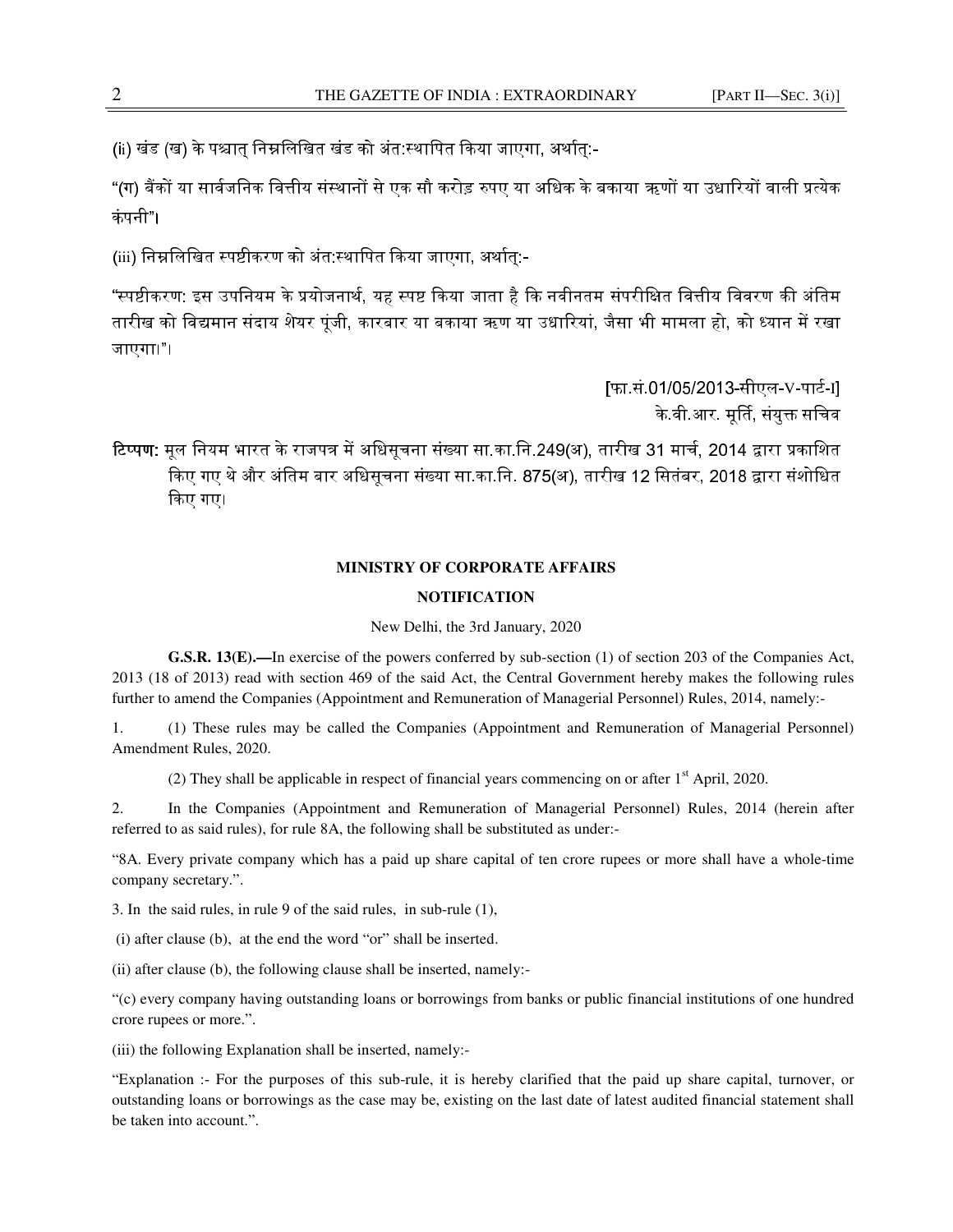(ii) खंड (ख) के पश्चात् निम्नलिखित खंड को अंत:स्थापित किया जाएगा, अर्थात:-

"(ग) बैंकों या सार्वजनिक वित्तीय संस्थानों से एक सौ करोड़ रुपए या अधिक के बकाया ऋणों या उधारियों वाली प्रत्येक कंपनी"।

(iii) निम्नलिखित स्पष्टीकरण को अंत:स्थापित किया जाएगा, अर्थात्:-

"स्पष्टीकरण: इस उपनियम के प्रयोजनार्थ, यह स्पष्ट किया जाता है कि नवीनतम संपरीक्षित वित्तीय विवरण की अंतिम तारीख को विद्यमान संदाय शेयर पूंजी, कारबार या बकाया ऋण या उधारियां, जैसा भी मामला हो, को ध्यान में रखा जाएगा।"।

> [फा.सं.01/05/2013-सीएल-V-पार्ट-I] के.वी.आर. मूर्ति, संयुक्त सचिव

टिप्पण: मूल नियम भारत के राजपत्र में अधिसूचना संख्या सा.का.नि.249(अ), तारीख 31 मार्च, 2014 द्वारा प्रकाशित किए गए थे और अंतिम बार अधिसूचना संख्या सा.का.नि. 875(अ), तारीख 12 सितंबर, 2018 द्वारा संशोधित कए गए।

#### **MINISTRY OF CORPORATE AFFAIRS**

#### **NOTIFICATION**

New Delhi, the 3rd January, 2020

**G.S.R. 13(E).—**In exercise of the powers conferred by sub-section (1) of section 203 of the Companies Act, 2013 (18 of 2013) read with section 469 of the said Act, the Central Government hereby makes the following rules further to amend the Companies (Appointment and Remuneration of Managerial Personnel) Rules, 2014, namely:-

1. (1) These rules may be called the Companies (Appointment and Remuneration of Managerial Personnel) Amendment Rules, 2020.

(2) They shall be applicable in respect of financial years commencing on or after  $1<sup>st</sup>$  April, 2020.

2. In the Companies (Appointment and Remuneration of Managerial Personnel) Rules, 2014 (herein after referred to as said rules), for rule 8A, the following shall be substituted as under:-

"8A. Every private company which has a paid up share capital of ten crore rupees or more shall have a whole-time company secretary.".

3. In the said rules, in rule 9 of the said rules, in sub-rule (1),

(i) after clause (b), at the end the word "or" shall be inserted.

(ii) after clause (b), the following clause shall be inserted, namely:-

"(c) every company having outstanding loans or borrowings from banks or public financial institutions of one hundred crore rupees or more.".

(iii) the following Explanation shall be inserted, namely:-

"Explanation :- For the purposes of this sub-rule, it is hereby clarified that the paid up share capital, turnover, or outstanding loans or borrowings as the case may be, existing on the last date of latest audited financial statement shall be taken into account.".